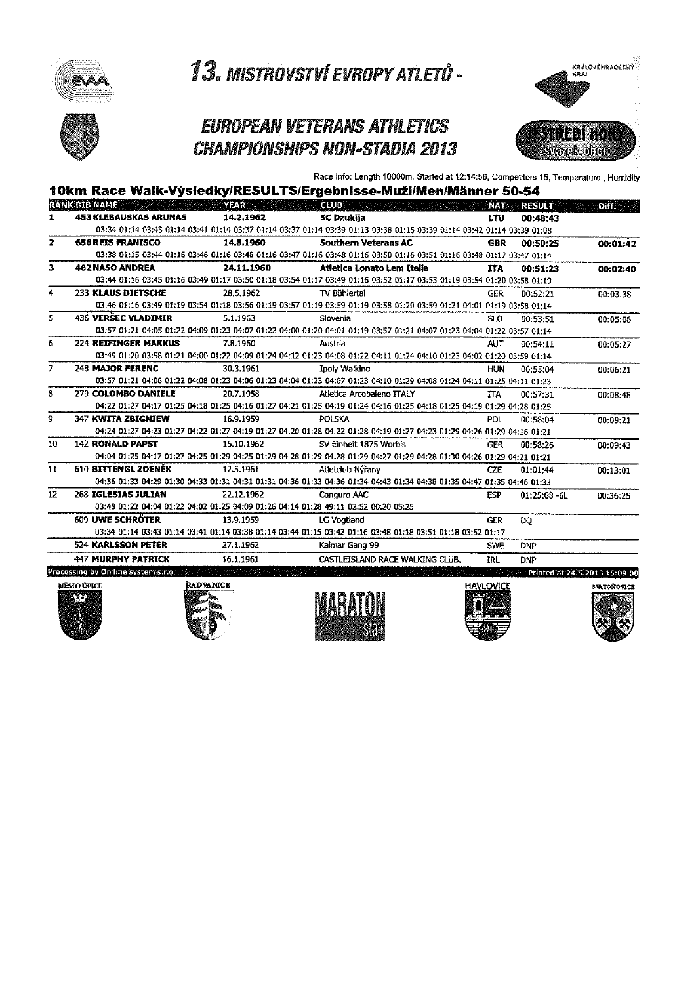

## **EUROPEAN VETERANS ATHLETICS CHAMPIONSHIPS NON-STADIA 2013**



Race Info: Length 10000m, Started at 12:14:56, Competitors 15, Temperature, Humidity

|                |                                     |            | 10km Race Walk-Výsledky/RESULTS/Ergebnisse-Muži/Men/Männer 50-54                                                              |                  |                               |          |
|----------------|-------------------------------------|------------|-------------------------------------------------------------------------------------------------------------------------------|------------------|-------------------------------|----------|
|                | <b>RANK BIB NAME</b>                | YEAR       | <b>CLUB</b>                                                                                                                   | <b>NAT</b>       | <b>RESULT</b>                 | Diff.    |
| $\mathbf{I}$   | <b>453 KLEBAUSKAS ARUNAS</b>        | 14.2.1962  | <b>SC Dzukija</b>                                                                                                             | <b>LTU</b>       | 00:48:43                      |          |
|                |                                     |            | 03:34 01:14 03:43 01:14 03:41 01:14 03:37 01:14 03:37 01:14 03:39 01:13 03:38 01:15 03:39 01:14 03:42 01:14 03:39 01:08       |                  |                               |          |
| $\mathbf{z}$   | <b>656 REIS FRANISCO</b>            | 14.8.1960  | <b>Southern Veterans AC</b>                                                                                                   | <b>GBR</b>       | 00:50:25                      | 00:01:42 |
|                |                                     |            | 03:38 01:15 03:44 01:16 03:46 01:16 03:48 01:16 03:47 01:16 03:48 01:16 03:50 01:16 03:51 01:16 03:48 01:17 03:47 01:14       |                  |                               |          |
| з              | <b>462 NASO ANDREA</b>              | 24.11.1960 | Atletica Lonato Lem Italia                                                                                                    | <b>TTA</b>       | 00:51:23                      | 00:02:40 |
|                |                                     |            | 03:44 01:16 03:45 01:16 03:49 01:17 03:50 01:18 03:54 01:17 03:49 01:16 03:52 01:17 03:53 01:19 03:54 01:20 03:58 01:19       |                  |                               |          |
| 4              | <b>233 KLAUS DIETSCHE</b>           | 28.5.1962  | TV Bühlertal                                                                                                                  | <b>GER</b>       | 00:52:21                      | 00:03:38 |
|                |                                     |            | 03:46 01:16 03:49 01:19 03:54 01:18 03:56 01:19 03:57 01:19 03:59 01:19 03:58 01:20 03:59 01:21 04:01 01:19 03:58 01:14       |                  |                               |          |
| 5              | 436 VERŠEC VLADIMIR                 | 5.1.1963   | Slovenia                                                                                                                      | <b>SLO</b>       | 00:53:51                      | 00:05:08 |
|                |                                     |            | 03:57 01:21 04:05 01:22 04:09 01:23 04:07 01:22 04:00 01:20 04:01 01:19 03:57 01:21 04:07 01:23 04:04 01:22 03:57 01:14       |                  |                               |          |
| 6              | <b>224 REIFINGER MARKUS</b>         | 7.8.1960   | Austria                                                                                                                       | <b>AUT</b>       | 00:54:11                      | 00:05:27 |
|                |                                     |            | 03:49 01:20 03:58 01:21 04:00 01:22 04:09 01:24 04:12 01:23 04:08 01:22 04:11 01:24 04:10 01:23 04:02 01:20 03:59 01:14       |                  |                               |          |
| $\overline{z}$ | 248 MAJOR FERENC                    | 30.3.1961  | <b>Ipoly Walking</b>                                                                                                          | <b>HIN</b>       | 00:55:04                      | 00:06:21 |
|                |                                     |            | 03:57 01:21 04:06 01:22 04:08 01:23 04:06 01:23 04:04 01:23 04:07 01:23 04:10 01:29 04:08 01:24 04:11 01:25 04:11 01:23       |                  |                               |          |
| 8              | 279 COLOMBO DANIELE                 | 20.7.1958  | Atletica Arcobaleno ITALY                                                                                                     | $\overline{II}A$ | 00:57:31                      | 00:08:48 |
|                |                                     |            | 04:22 01:27 04:17 01:25 04:18 01:25 04:16 01:27 04:21 01:25 04:19 01:24 04:16 01:25 04:18 01:25 04:19 01:29 04:28 01:25       |                  |                               |          |
| 9              | 347 KWITA ZBIGNIEW                  | 16.9.1959  | POLSKA                                                                                                                        | <b>POL</b>       | 00:58:04                      | 00:09:21 |
|                |                                     |            | 04:24 01:27 04:23 01:27 04:22 01:27 04:19 01:27 04:10 01:28 04:22 01:28 04:19 01:27 04:23 01:29 04:26 01:29 04:16 01:21       |                  |                               |          |
| 10             | <b>142 RONALD PAPST</b>             | 15.10.1962 | SV Einheit 1875 Worbis                                                                                                        | GER              | 00:58:26                      | 00:09:43 |
|                |                                     |            | 04:04 01:25 04:17 01:27 04:25 01:29 04:25 01:29 04:28 01:29 04:28 01:29 04:27 01:29 04:28 01:30 04:26 01:29 04:21 01:21       |                  |                               |          |
| 11             | <b>610 BITTENGL ZDENĚK</b>          | 12.5.1961  | Atletclub Nýřany                                                                                                              | <b>CZE</b>       | 01:01:44                      | 00:13:01 |
|                |                                     |            | 04:36 01:33 04:29 01:30 04:33 01:31 04:31 01:31 04:36 01:33 04:36 01:34 04:43 01:34 04:48 01:35 01:39 04:47 01:35 04:46 01:33 |                  |                               |          |
| 12             | 268 IGLESIAS JULIAN                 | 22.12.1962 | Canguro AAC                                                                                                                   | <b>ESP</b>       | $01:25:08 - 61$               | 00:36:25 |
|                |                                     |            | 03:48 01:22 04:04 01:22 04:02 01:25 04:09 01:26 04:14 01:28 49:11 02:52 00:20 05:25                                           |                  |                               |          |
|                | 609 UWE SCHRÖTER                    | 13.9.1959  | <b>LG Voatland</b>                                                                                                            | <b>GER</b>       | DO                            |          |
|                |                                     |            | 03:34 01:14 03:43 01:14 03:41 01:14 03:38 01:14 03:44 01:15 03:42 01:16 03:48 01:18 03:51 01:18 03:52 01:17                   |                  |                               |          |
|                | <b>524 KARLSSON PETER</b>           | 27.1.1962  | Kalmar Gang 99                                                                                                                | <b>SWE</b>       | DNP                           |          |
|                | <b>447 MURPHY PATRICK</b>           | 16.1.1961  | CASTLEISLAND RACE WALKING CLUB.                                                                                               | <b>IRL</b>       | <b>DNP</b>                    |          |
|                | Processing by On line system s.r.o. |            |                                                                                                                               |                  | Printed at 24.5.2013 15:09:00 |          |









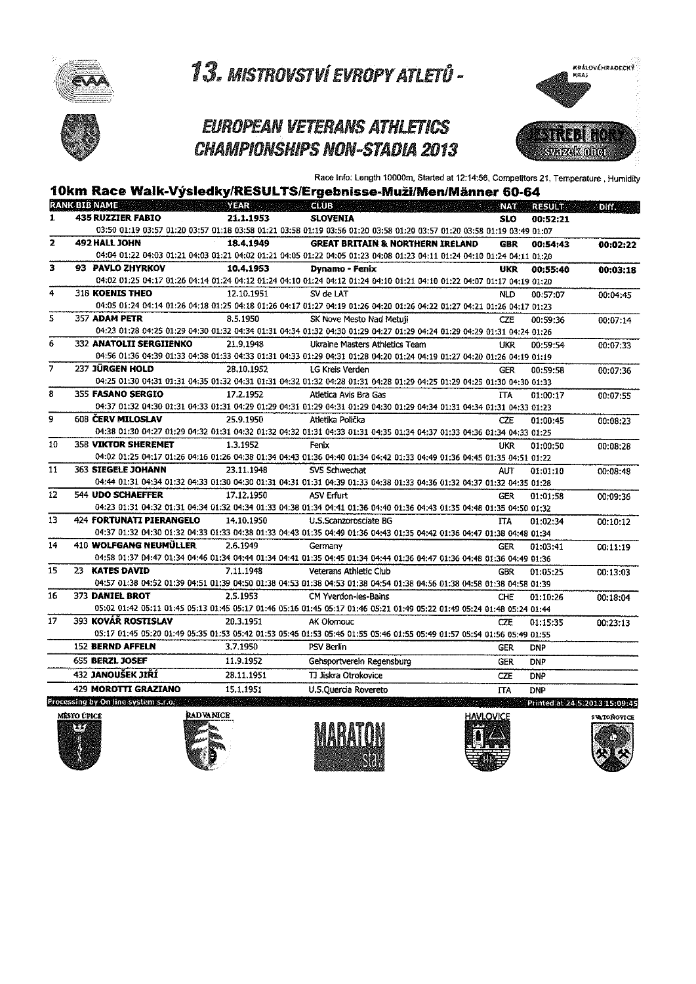



### **EUROPEAN VETERANS ATHLETICS CHAMPIONSHIPS NON-STADIA 2013**



Race Info: Length 10000m, Started at 12:14:56, Competitors 21, Temperature, Humidity

| <b>RANK BIB NAME</b><br><b>Example 2018</b> YEAR CLUB<br><b>NAT</b><br><b>RESULT</b><br><b>435 RUZZIER FABIO</b><br>21.1.1953<br>1<br><b>SLOVENIA</b><br><b>SLO</b><br>00:52:21<br>03:50 01:19 03:57 01:20 03:57 01:18 03:58 01:21 03:58 01:19 03:56 01:20 03:58 01:20 03:57 01:20 03:58 01:19 03:49 01:07<br>492 HALL JOHN<br>18.4.1949<br><b>GREAT BRITAIN &amp; NORTHERN IRELAND</b><br>GBR<br>00:54:43<br>04:04 01:22 04:03 01:21 04:03 01:21 04:02 01:21 04:05 01:22 04:05 01:23 04:08 01:23 04:11 01:24 04:10 01:24 04:11 01:24<br>93 PAVLO ZHYRKOV<br>10,4,1953<br><b>Dynamo - Fenix</b><br>UKR<br>00:55:40<br>04:02 01:25 04:17 01:26 04:14 01:24 04:12 01:24 04:10 01:24 04:12 01:24 04:10 01:21 04:10 01:22 04:07 01:17 04:19 01:20<br><b>318 KOENIS THEO</b><br>12.10.1951<br>SV de LAT<br><b>NLD</b><br>00:57:07<br>04:05 01:24 04:14 01:26 04:18 01:25 04:18 01:26 04:17 01:27 04:19 01:26 04:20 01:26 04:22 01:27 04:21 01:26 04:17 01:23<br>357 ADAM PETR<br>8.5.1950<br>SK Nove Mesto Nad Metuii<br><b>CZE</b><br>00:59:36<br>04:23 01:28 04:25 01:29 04:30 01:32 04:34 01:31 04:34 01:32 04:30 01:29 04:27 01:29 04:24 01:29 04:29 01:31 04:24 01:26<br><b>332 ANATOLII SERGIIENKO</b><br>21.9.1948<br>Ukraine Masters Athletics Team<br>UKR<br>00:59:54<br>04:56 01:36 04:39 01:33 04:38 01:33 04:33 01:31 04:33 01:29 04:31 01:28 04:20 01:24 04:19 01:27 04:20 01:26 04:19 01:16<br>237 JÜRGEN HOLD<br>28.10.1952<br><b>LG Kreis Verden</b><br><b>GER</b><br>00:59:58<br>04:25 01:30 04:31 01:31 04:35 01:32 04:31 01:31 04:32 01:32 04:28 01:31 04:28 01:39 04:25 01:29 04:25 01:30 04:30 01:33<br>355 FASANO SERGIO<br>17.2.1952<br>Atletica Avis Bra Gas<br><b>ITA</b><br>01:00:17<br>04:37 01:32 04:30 01:31 04:33 01:31 04:29 01:29 04:31 01:29 04:31 01:29 04:30 01:29 04:34 01:31 04:34 01:31 04:33 01:23<br><b>608 CERV MILOSLAV</b><br>25.9.1950<br>Atletika Polička<br>C7F<br>01:00:45<br>04:38 01:30 04:27 01:29 04:32 01:31 04:32 01:32 04:32 01:31 04:33 01:31 04:35 01:34 04:37 01:33 04:36 01:34 04:33 01:25<br><b>358 VIKTOR SHEREMET</b><br>1 3.1952<br>Fenix<br>tikR<br>01:00:50<br>04:02 01:25 04:17 01:26 04:16 01:26 04:38 01:34 04:43 01:36 04:40 01:34 04:42 01:33 04:49 01:36 04:45 01:35 04:51 01:22<br><b>363 SIEGELE JOHANN</b><br>23.11.1948<br>SVS Schwechat<br>AIT<br>01:01:10<br>04:44 01:31 04:34 01:32 04:33 01:30 04:30 01:31 04:31 01:31 04:39 01:33 04:38 01:33 04:36 01:32 04:37 01:32 04:35 01:28<br><b>544 UDO SCHAEFFER</b><br>17.12.1950<br>ASV Erfurt<br><b>GER</b><br>01:01:58<br>04:23 01:31 04:32 01:31 04:34 01:32 04:34 01:33 04:38 01:34 04:41 01:36 04:40 01:36 04:43 01:35 04:48 01:35 04:50 01:32<br>424 FORTUNATI PIERANGELO<br>14.10.1950<br>U.S.Scanzorosciate BG<br>ПA<br>01:02:34<br>04:37 01:32 04:30 01:32 04:33 01:33 04:38 01:33 04:43 01:35 04:49 01:36 04:43 01:35 04:42 01:36 04:47 01:38 04:48 01:34<br>410 WOLFGANG NEUMÜLLER<br>2.6.1949<br>Germany<br><b>GFR</b><br>01:03:41<br>04:58 01:37 04:47 01:34 04:46 01:34 04:44 01:34 04:41 01:35 04:45 01:34 04:44 01:36 04:47 01:36 04:48 01:36 04:49 01:36<br>23 KATES DAVID<br>7.11.1948<br>Veterans Athletic Club<br>GBR<br>01:05:25<br>04:57 01:38 04:52 01:39 04:51 01:39 04:50 01:38 04:53 01:38 04:53 01:38 04:54 01:38 04:56 01:38 04:58 01:38 04:58 01:39<br>373 DANIEL BROT<br>2.5.1953<br>CM Yverdon-les-Bains<br>CHE<br>01:10:26<br>05:02 01:42 05:11 01:45 05:13 01:45 05:17 01:46 05:16 01:45 05:17 01:46 05:21 01:49 05:22 01:49 05:24 01:48 05:24 01:44<br>393 KOVÁŘ ROSTISLAV<br>20.3.1951<br>AK Olomouc<br>CZE.<br>01:15:35<br>05:17 01:45 05:20 01:49 05:35 01:53 05:42 01:53 05:46 01:53 05:46 01:55 05:46 01:55 05:49 01:57 05:54 01:56 05:49 01:55<br><b>152 BERND AFFELN</b><br>3.7.1950<br>PSV Berlin<br><b>GER</b><br><b>DNP</b><br><b>655 BERZL JOSEF</b><br>11.9.1952<br>Gensportverein Regensburg<br><b>GER</b><br><b>DNP</b><br>432 JANOUŠEK JIŘÍ<br>28.11.1951<br>TJ Jiskra Otrokovice<br><b>CZE</b><br><b>DNP</b><br>429 MOROTTI GRAZIANO<br>15.1.1951<br>U.S.Quercia Rovereto<br><b>ITA</b><br><b>DNP</b><br>Printed at 24.5.2013 15:09:45 |    |  | 10km Race Walk-Výsledky/RESULTS/Ergebnisse-Muži/Men/Männer 60-64 |  |          |
|---------------------------------------------------------------------------------------------------------------------------------------------------------------------------------------------------------------------------------------------------------------------------------------------------------------------------------------------------------------------------------------------------------------------------------------------------------------------------------------------------------------------------------------------------------------------------------------------------------------------------------------------------------------------------------------------------------------------------------------------------------------------------------------------------------------------------------------------------------------------------------------------------------------------------------------------------------------------------------------------------------------------------------------------------------------------------------------------------------------------------------------------------------------------------------------------------------------------------------------------------------------------------------------------------------------------------------------------------------------------------------------------------------------------------------------------------------------------------------------------------------------------------------------------------------------------------------------------------------------------------------------------------------------------------------------------------------------------------------------------------------------------------------------------------------------------------------------------------------------------------------------------------------------------------------------------------------------------------------------------------------------------------------------------------------------------------------------------------------------------------------------------------------------------------------------------------------------------------------------------------------------------------------------------------------------------------------------------------------------------------------------------------------------------------------------------------------------------------------------------------------------------------------------------------------------------------------------------------------------------------------------------------------------------------------------------------------------------------------------------------------------------------------------------------------------------------------------------------------------------------------------------------------------------------------------------------------------------------------------------------------------------------------------------------------------------------------------------------------------------------------------------------------------------------------------------------------------------------------------------------------------------------------------------------------------------------------------------------------------------------------------------------------------------------------------------------------------------------------------------------------------------------------------------------------------------------------------------------------------------------------------------------------------------------------------------------------------------------------------------------------------------------------------------------------------------------------------------------------------------------------------------------------------------------------------------------------------------------------------------------------------------------------------------------------------------------------------------------------------|----|--|------------------------------------------------------------------|--|----------|
|                                                                                                                                                                                                                                                                                                                                                                                                                                                                                                                                                                                                                                                                                                                                                                                                                                                                                                                                                                                                                                                                                                                                                                                                                                                                                                                                                                                                                                                                                                                                                                                                                                                                                                                                                                                                                                                                                                                                                                                                                                                                                                                                                                                                                                                                                                                                                                                                                                                                                                                                                                                                                                                                                                                                                                                                                                                                                                                                                                                                                                                                                                                                                                                                                                                                                                                                                                                                                                                                                                                                                                                                                                                                                                                                                                                                                                                                                                                                                                                                                                                                                                               |    |  |                                                                  |  | Diff.    |
|                                                                                                                                                                                                                                                                                                                                                                                                                                                                                                                                                                                                                                                                                                                                                                                                                                                                                                                                                                                                                                                                                                                                                                                                                                                                                                                                                                                                                                                                                                                                                                                                                                                                                                                                                                                                                                                                                                                                                                                                                                                                                                                                                                                                                                                                                                                                                                                                                                                                                                                                                                                                                                                                                                                                                                                                                                                                                                                                                                                                                                                                                                                                                                                                                                                                                                                                                                                                                                                                                                                                                                                                                                                                                                                                                                                                                                                                                                                                                                                                                                                                                                               |    |  |                                                                  |  |          |
|                                                                                                                                                                                                                                                                                                                                                                                                                                                                                                                                                                                                                                                                                                                                                                                                                                                                                                                                                                                                                                                                                                                                                                                                                                                                                                                                                                                                                                                                                                                                                                                                                                                                                                                                                                                                                                                                                                                                                                                                                                                                                                                                                                                                                                                                                                                                                                                                                                                                                                                                                                                                                                                                                                                                                                                                                                                                                                                                                                                                                                                                                                                                                                                                                                                                                                                                                                                                                                                                                                                                                                                                                                                                                                                                                                                                                                                                                                                                                                                                                                                                                                               |    |  |                                                                  |  |          |
|                                                                                                                                                                                                                                                                                                                                                                                                                                                                                                                                                                                                                                                                                                                                                                                                                                                                                                                                                                                                                                                                                                                                                                                                                                                                                                                                                                                                                                                                                                                                                                                                                                                                                                                                                                                                                                                                                                                                                                                                                                                                                                                                                                                                                                                                                                                                                                                                                                                                                                                                                                                                                                                                                                                                                                                                                                                                                                                                                                                                                                                                                                                                                                                                                                                                                                                                                                                                                                                                                                                                                                                                                                                                                                                                                                                                                                                                                                                                                                                                                                                                                                               | 2  |  |                                                                  |  | 00:02:22 |
|                                                                                                                                                                                                                                                                                                                                                                                                                                                                                                                                                                                                                                                                                                                                                                                                                                                                                                                                                                                                                                                                                                                                                                                                                                                                                                                                                                                                                                                                                                                                                                                                                                                                                                                                                                                                                                                                                                                                                                                                                                                                                                                                                                                                                                                                                                                                                                                                                                                                                                                                                                                                                                                                                                                                                                                                                                                                                                                                                                                                                                                                                                                                                                                                                                                                                                                                                                                                                                                                                                                                                                                                                                                                                                                                                                                                                                                                                                                                                                                                                                                                                                               |    |  |                                                                  |  |          |
| 4<br>5<br>6<br>$\overline{7}$<br>8<br>9<br>10<br>11<br>12<br>13                                                                                                                                                                                                                                                                                                                                                                                                                                                                                                                                                                                                                                                                                                                                                                                                                                                                                                                                                                                                                                                                                                                                                                                                                                                                                                                                                                                                                                                                                                                                                                                                                                                                                                                                                                                                                                                                                                                                                                                                                                                                                                                                                                                                                                                                                                                                                                                                                                                                                                                                                                                                                                                                                                                                                                                                                                                                                                                                                                                                                                                                                                                                                                                                                                                                                                                                                                                                                                                                                                                                                                                                                                                                                                                                                                                                                                                                                                                                                                                                                                               | 3  |  |                                                                  |  | 00:03:18 |
|                                                                                                                                                                                                                                                                                                                                                                                                                                                                                                                                                                                                                                                                                                                                                                                                                                                                                                                                                                                                                                                                                                                                                                                                                                                                                                                                                                                                                                                                                                                                                                                                                                                                                                                                                                                                                                                                                                                                                                                                                                                                                                                                                                                                                                                                                                                                                                                                                                                                                                                                                                                                                                                                                                                                                                                                                                                                                                                                                                                                                                                                                                                                                                                                                                                                                                                                                                                                                                                                                                                                                                                                                                                                                                                                                                                                                                                                                                                                                                                                                                                                                                               |    |  |                                                                  |  |          |
|                                                                                                                                                                                                                                                                                                                                                                                                                                                                                                                                                                                                                                                                                                                                                                                                                                                                                                                                                                                                                                                                                                                                                                                                                                                                                                                                                                                                                                                                                                                                                                                                                                                                                                                                                                                                                                                                                                                                                                                                                                                                                                                                                                                                                                                                                                                                                                                                                                                                                                                                                                                                                                                                                                                                                                                                                                                                                                                                                                                                                                                                                                                                                                                                                                                                                                                                                                                                                                                                                                                                                                                                                                                                                                                                                                                                                                                                                                                                                                                                                                                                                                               |    |  |                                                                  |  | 00:04:45 |
|                                                                                                                                                                                                                                                                                                                                                                                                                                                                                                                                                                                                                                                                                                                                                                                                                                                                                                                                                                                                                                                                                                                                                                                                                                                                                                                                                                                                                                                                                                                                                                                                                                                                                                                                                                                                                                                                                                                                                                                                                                                                                                                                                                                                                                                                                                                                                                                                                                                                                                                                                                                                                                                                                                                                                                                                                                                                                                                                                                                                                                                                                                                                                                                                                                                                                                                                                                                                                                                                                                                                                                                                                                                                                                                                                                                                                                                                                                                                                                                                                                                                                                               |    |  |                                                                  |  |          |
|                                                                                                                                                                                                                                                                                                                                                                                                                                                                                                                                                                                                                                                                                                                                                                                                                                                                                                                                                                                                                                                                                                                                                                                                                                                                                                                                                                                                                                                                                                                                                                                                                                                                                                                                                                                                                                                                                                                                                                                                                                                                                                                                                                                                                                                                                                                                                                                                                                                                                                                                                                                                                                                                                                                                                                                                                                                                                                                                                                                                                                                                                                                                                                                                                                                                                                                                                                                                                                                                                                                                                                                                                                                                                                                                                                                                                                                                                                                                                                                                                                                                                                               |    |  |                                                                  |  | 00:07:14 |
|                                                                                                                                                                                                                                                                                                                                                                                                                                                                                                                                                                                                                                                                                                                                                                                                                                                                                                                                                                                                                                                                                                                                                                                                                                                                                                                                                                                                                                                                                                                                                                                                                                                                                                                                                                                                                                                                                                                                                                                                                                                                                                                                                                                                                                                                                                                                                                                                                                                                                                                                                                                                                                                                                                                                                                                                                                                                                                                                                                                                                                                                                                                                                                                                                                                                                                                                                                                                                                                                                                                                                                                                                                                                                                                                                                                                                                                                                                                                                                                                                                                                                                               |    |  |                                                                  |  |          |
|                                                                                                                                                                                                                                                                                                                                                                                                                                                                                                                                                                                                                                                                                                                                                                                                                                                                                                                                                                                                                                                                                                                                                                                                                                                                                                                                                                                                                                                                                                                                                                                                                                                                                                                                                                                                                                                                                                                                                                                                                                                                                                                                                                                                                                                                                                                                                                                                                                                                                                                                                                                                                                                                                                                                                                                                                                                                                                                                                                                                                                                                                                                                                                                                                                                                                                                                                                                                                                                                                                                                                                                                                                                                                                                                                                                                                                                                                                                                                                                                                                                                                                               |    |  |                                                                  |  | 00:07:33 |
|                                                                                                                                                                                                                                                                                                                                                                                                                                                                                                                                                                                                                                                                                                                                                                                                                                                                                                                                                                                                                                                                                                                                                                                                                                                                                                                                                                                                                                                                                                                                                                                                                                                                                                                                                                                                                                                                                                                                                                                                                                                                                                                                                                                                                                                                                                                                                                                                                                                                                                                                                                                                                                                                                                                                                                                                                                                                                                                                                                                                                                                                                                                                                                                                                                                                                                                                                                                                                                                                                                                                                                                                                                                                                                                                                                                                                                                                                                                                                                                                                                                                                                               |    |  |                                                                  |  |          |
|                                                                                                                                                                                                                                                                                                                                                                                                                                                                                                                                                                                                                                                                                                                                                                                                                                                                                                                                                                                                                                                                                                                                                                                                                                                                                                                                                                                                                                                                                                                                                                                                                                                                                                                                                                                                                                                                                                                                                                                                                                                                                                                                                                                                                                                                                                                                                                                                                                                                                                                                                                                                                                                                                                                                                                                                                                                                                                                                                                                                                                                                                                                                                                                                                                                                                                                                                                                                                                                                                                                                                                                                                                                                                                                                                                                                                                                                                                                                                                                                                                                                                                               |    |  |                                                                  |  | 00:07:36 |
|                                                                                                                                                                                                                                                                                                                                                                                                                                                                                                                                                                                                                                                                                                                                                                                                                                                                                                                                                                                                                                                                                                                                                                                                                                                                                                                                                                                                                                                                                                                                                                                                                                                                                                                                                                                                                                                                                                                                                                                                                                                                                                                                                                                                                                                                                                                                                                                                                                                                                                                                                                                                                                                                                                                                                                                                                                                                                                                                                                                                                                                                                                                                                                                                                                                                                                                                                                                                                                                                                                                                                                                                                                                                                                                                                                                                                                                                                                                                                                                                                                                                                                               |    |  |                                                                  |  |          |
|                                                                                                                                                                                                                                                                                                                                                                                                                                                                                                                                                                                                                                                                                                                                                                                                                                                                                                                                                                                                                                                                                                                                                                                                                                                                                                                                                                                                                                                                                                                                                                                                                                                                                                                                                                                                                                                                                                                                                                                                                                                                                                                                                                                                                                                                                                                                                                                                                                                                                                                                                                                                                                                                                                                                                                                                                                                                                                                                                                                                                                                                                                                                                                                                                                                                                                                                                                                                                                                                                                                                                                                                                                                                                                                                                                                                                                                                                                                                                                                                                                                                                                               |    |  |                                                                  |  | 00:07:55 |
|                                                                                                                                                                                                                                                                                                                                                                                                                                                                                                                                                                                                                                                                                                                                                                                                                                                                                                                                                                                                                                                                                                                                                                                                                                                                                                                                                                                                                                                                                                                                                                                                                                                                                                                                                                                                                                                                                                                                                                                                                                                                                                                                                                                                                                                                                                                                                                                                                                                                                                                                                                                                                                                                                                                                                                                                                                                                                                                                                                                                                                                                                                                                                                                                                                                                                                                                                                                                                                                                                                                                                                                                                                                                                                                                                                                                                                                                                                                                                                                                                                                                                                               |    |  |                                                                  |  |          |
|                                                                                                                                                                                                                                                                                                                                                                                                                                                                                                                                                                                                                                                                                                                                                                                                                                                                                                                                                                                                                                                                                                                                                                                                                                                                                                                                                                                                                                                                                                                                                                                                                                                                                                                                                                                                                                                                                                                                                                                                                                                                                                                                                                                                                                                                                                                                                                                                                                                                                                                                                                                                                                                                                                                                                                                                                                                                                                                                                                                                                                                                                                                                                                                                                                                                                                                                                                                                                                                                                                                                                                                                                                                                                                                                                                                                                                                                                                                                                                                                                                                                                                               |    |  |                                                                  |  | 00:08:23 |
|                                                                                                                                                                                                                                                                                                                                                                                                                                                                                                                                                                                                                                                                                                                                                                                                                                                                                                                                                                                                                                                                                                                                                                                                                                                                                                                                                                                                                                                                                                                                                                                                                                                                                                                                                                                                                                                                                                                                                                                                                                                                                                                                                                                                                                                                                                                                                                                                                                                                                                                                                                                                                                                                                                                                                                                                                                                                                                                                                                                                                                                                                                                                                                                                                                                                                                                                                                                                                                                                                                                                                                                                                                                                                                                                                                                                                                                                                                                                                                                                                                                                                                               |    |  |                                                                  |  |          |
|                                                                                                                                                                                                                                                                                                                                                                                                                                                                                                                                                                                                                                                                                                                                                                                                                                                                                                                                                                                                                                                                                                                                                                                                                                                                                                                                                                                                                                                                                                                                                                                                                                                                                                                                                                                                                                                                                                                                                                                                                                                                                                                                                                                                                                                                                                                                                                                                                                                                                                                                                                                                                                                                                                                                                                                                                                                                                                                                                                                                                                                                                                                                                                                                                                                                                                                                                                                                                                                                                                                                                                                                                                                                                                                                                                                                                                                                                                                                                                                                                                                                                                               |    |  |                                                                  |  | 00:08:28 |
|                                                                                                                                                                                                                                                                                                                                                                                                                                                                                                                                                                                                                                                                                                                                                                                                                                                                                                                                                                                                                                                                                                                                                                                                                                                                                                                                                                                                                                                                                                                                                                                                                                                                                                                                                                                                                                                                                                                                                                                                                                                                                                                                                                                                                                                                                                                                                                                                                                                                                                                                                                                                                                                                                                                                                                                                                                                                                                                                                                                                                                                                                                                                                                                                                                                                                                                                                                                                                                                                                                                                                                                                                                                                                                                                                                                                                                                                                                                                                                                                                                                                                                               |    |  |                                                                  |  |          |
|                                                                                                                                                                                                                                                                                                                                                                                                                                                                                                                                                                                                                                                                                                                                                                                                                                                                                                                                                                                                                                                                                                                                                                                                                                                                                                                                                                                                                                                                                                                                                                                                                                                                                                                                                                                                                                                                                                                                                                                                                                                                                                                                                                                                                                                                                                                                                                                                                                                                                                                                                                                                                                                                                                                                                                                                                                                                                                                                                                                                                                                                                                                                                                                                                                                                                                                                                                                                                                                                                                                                                                                                                                                                                                                                                                                                                                                                                                                                                                                                                                                                                                               |    |  |                                                                  |  | 00:08:48 |
|                                                                                                                                                                                                                                                                                                                                                                                                                                                                                                                                                                                                                                                                                                                                                                                                                                                                                                                                                                                                                                                                                                                                                                                                                                                                                                                                                                                                                                                                                                                                                                                                                                                                                                                                                                                                                                                                                                                                                                                                                                                                                                                                                                                                                                                                                                                                                                                                                                                                                                                                                                                                                                                                                                                                                                                                                                                                                                                                                                                                                                                                                                                                                                                                                                                                                                                                                                                                                                                                                                                                                                                                                                                                                                                                                                                                                                                                                                                                                                                                                                                                                                               |    |  |                                                                  |  |          |
|                                                                                                                                                                                                                                                                                                                                                                                                                                                                                                                                                                                                                                                                                                                                                                                                                                                                                                                                                                                                                                                                                                                                                                                                                                                                                                                                                                                                                                                                                                                                                                                                                                                                                                                                                                                                                                                                                                                                                                                                                                                                                                                                                                                                                                                                                                                                                                                                                                                                                                                                                                                                                                                                                                                                                                                                                                                                                                                                                                                                                                                                                                                                                                                                                                                                                                                                                                                                                                                                                                                                                                                                                                                                                                                                                                                                                                                                                                                                                                                                                                                                                                               |    |  |                                                                  |  | 00:09:36 |
|                                                                                                                                                                                                                                                                                                                                                                                                                                                                                                                                                                                                                                                                                                                                                                                                                                                                                                                                                                                                                                                                                                                                                                                                                                                                                                                                                                                                                                                                                                                                                                                                                                                                                                                                                                                                                                                                                                                                                                                                                                                                                                                                                                                                                                                                                                                                                                                                                                                                                                                                                                                                                                                                                                                                                                                                                                                                                                                                                                                                                                                                                                                                                                                                                                                                                                                                                                                                                                                                                                                                                                                                                                                                                                                                                                                                                                                                                                                                                                                                                                                                                                               |    |  |                                                                  |  |          |
|                                                                                                                                                                                                                                                                                                                                                                                                                                                                                                                                                                                                                                                                                                                                                                                                                                                                                                                                                                                                                                                                                                                                                                                                                                                                                                                                                                                                                                                                                                                                                                                                                                                                                                                                                                                                                                                                                                                                                                                                                                                                                                                                                                                                                                                                                                                                                                                                                                                                                                                                                                                                                                                                                                                                                                                                                                                                                                                                                                                                                                                                                                                                                                                                                                                                                                                                                                                                                                                                                                                                                                                                                                                                                                                                                                                                                                                                                                                                                                                                                                                                                                               |    |  |                                                                  |  | 00:10:12 |
|                                                                                                                                                                                                                                                                                                                                                                                                                                                                                                                                                                                                                                                                                                                                                                                                                                                                                                                                                                                                                                                                                                                                                                                                                                                                                                                                                                                                                                                                                                                                                                                                                                                                                                                                                                                                                                                                                                                                                                                                                                                                                                                                                                                                                                                                                                                                                                                                                                                                                                                                                                                                                                                                                                                                                                                                                                                                                                                                                                                                                                                                                                                                                                                                                                                                                                                                                                                                                                                                                                                                                                                                                                                                                                                                                                                                                                                                                                                                                                                                                                                                                                               |    |  |                                                                  |  |          |
| 15<br>16<br>17<br>Processing by On line system s.r.o.                                                                                                                                                                                                                                                                                                                                                                                                                                                                                                                                                                                                                                                                                                                                                                                                                                                                                                                                                                                                                                                                                                                                                                                                                                                                                                                                                                                                                                                                                                                                                                                                                                                                                                                                                                                                                                                                                                                                                                                                                                                                                                                                                                                                                                                                                                                                                                                                                                                                                                                                                                                                                                                                                                                                                                                                                                                                                                                                                                                                                                                                                                                                                                                                                                                                                                                                                                                                                                                                                                                                                                                                                                                                                                                                                                                                                                                                                                                                                                                                                                                         | 14 |  |                                                                  |  | 00:11:19 |
|                                                                                                                                                                                                                                                                                                                                                                                                                                                                                                                                                                                                                                                                                                                                                                                                                                                                                                                                                                                                                                                                                                                                                                                                                                                                                                                                                                                                                                                                                                                                                                                                                                                                                                                                                                                                                                                                                                                                                                                                                                                                                                                                                                                                                                                                                                                                                                                                                                                                                                                                                                                                                                                                                                                                                                                                                                                                                                                                                                                                                                                                                                                                                                                                                                                                                                                                                                                                                                                                                                                                                                                                                                                                                                                                                                                                                                                                                                                                                                                                                                                                                                               |    |  |                                                                  |  |          |
|                                                                                                                                                                                                                                                                                                                                                                                                                                                                                                                                                                                                                                                                                                                                                                                                                                                                                                                                                                                                                                                                                                                                                                                                                                                                                                                                                                                                                                                                                                                                                                                                                                                                                                                                                                                                                                                                                                                                                                                                                                                                                                                                                                                                                                                                                                                                                                                                                                                                                                                                                                                                                                                                                                                                                                                                                                                                                                                                                                                                                                                                                                                                                                                                                                                                                                                                                                                                                                                                                                                                                                                                                                                                                                                                                                                                                                                                                                                                                                                                                                                                                                               |    |  |                                                                  |  | 00:13:03 |
|                                                                                                                                                                                                                                                                                                                                                                                                                                                                                                                                                                                                                                                                                                                                                                                                                                                                                                                                                                                                                                                                                                                                                                                                                                                                                                                                                                                                                                                                                                                                                                                                                                                                                                                                                                                                                                                                                                                                                                                                                                                                                                                                                                                                                                                                                                                                                                                                                                                                                                                                                                                                                                                                                                                                                                                                                                                                                                                                                                                                                                                                                                                                                                                                                                                                                                                                                                                                                                                                                                                                                                                                                                                                                                                                                                                                                                                                                                                                                                                                                                                                                                               |    |  |                                                                  |  |          |
|                                                                                                                                                                                                                                                                                                                                                                                                                                                                                                                                                                                                                                                                                                                                                                                                                                                                                                                                                                                                                                                                                                                                                                                                                                                                                                                                                                                                                                                                                                                                                                                                                                                                                                                                                                                                                                                                                                                                                                                                                                                                                                                                                                                                                                                                                                                                                                                                                                                                                                                                                                                                                                                                                                                                                                                                                                                                                                                                                                                                                                                                                                                                                                                                                                                                                                                                                                                                                                                                                                                                                                                                                                                                                                                                                                                                                                                                                                                                                                                                                                                                                                               |    |  |                                                                  |  | 00:18:04 |
|                                                                                                                                                                                                                                                                                                                                                                                                                                                                                                                                                                                                                                                                                                                                                                                                                                                                                                                                                                                                                                                                                                                                                                                                                                                                                                                                                                                                                                                                                                                                                                                                                                                                                                                                                                                                                                                                                                                                                                                                                                                                                                                                                                                                                                                                                                                                                                                                                                                                                                                                                                                                                                                                                                                                                                                                                                                                                                                                                                                                                                                                                                                                                                                                                                                                                                                                                                                                                                                                                                                                                                                                                                                                                                                                                                                                                                                                                                                                                                                                                                                                                                               |    |  |                                                                  |  |          |
|                                                                                                                                                                                                                                                                                                                                                                                                                                                                                                                                                                                                                                                                                                                                                                                                                                                                                                                                                                                                                                                                                                                                                                                                                                                                                                                                                                                                                                                                                                                                                                                                                                                                                                                                                                                                                                                                                                                                                                                                                                                                                                                                                                                                                                                                                                                                                                                                                                                                                                                                                                                                                                                                                                                                                                                                                                                                                                                                                                                                                                                                                                                                                                                                                                                                                                                                                                                                                                                                                                                                                                                                                                                                                                                                                                                                                                                                                                                                                                                                                                                                                                               |    |  |                                                                  |  | 00:23:13 |
|                                                                                                                                                                                                                                                                                                                                                                                                                                                                                                                                                                                                                                                                                                                                                                                                                                                                                                                                                                                                                                                                                                                                                                                                                                                                                                                                                                                                                                                                                                                                                                                                                                                                                                                                                                                                                                                                                                                                                                                                                                                                                                                                                                                                                                                                                                                                                                                                                                                                                                                                                                                                                                                                                                                                                                                                                                                                                                                                                                                                                                                                                                                                                                                                                                                                                                                                                                                                                                                                                                                                                                                                                                                                                                                                                                                                                                                                                                                                                                                                                                                                                                               |    |  |                                                                  |  |          |
|                                                                                                                                                                                                                                                                                                                                                                                                                                                                                                                                                                                                                                                                                                                                                                                                                                                                                                                                                                                                                                                                                                                                                                                                                                                                                                                                                                                                                                                                                                                                                                                                                                                                                                                                                                                                                                                                                                                                                                                                                                                                                                                                                                                                                                                                                                                                                                                                                                                                                                                                                                                                                                                                                                                                                                                                                                                                                                                                                                                                                                                                                                                                                                                                                                                                                                                                                                                                                                                                                                                                                                                                                                                                                                                                                                                                                                                                                                                                                                                                                                                                                                               |    |  |                                                                  |  |          |
|                                                                                                                                                                                                                                                                                                                                                                                                                                                                                                                                                                                                                                                                                                                                                                                                                                                                                                                                                                                                                                                                                                                                                                                                                                                                                                                                                                                                                                                                                                                                                                                                                                                                                                                                                                                                                                                                                                                                                                                                                                                                                                                                                                                                                                                                                                                                                                                                                                                                                                                                                                                                                                                                                                                                                                                                                                                                                                                                                                                                                                                                                                                                                                                                                                                                                                                                                                                                                                                                                                                                                                                                                                                                                                                                                                                                                                                                                                                                                                                                                                                                                                               |    |  |                                                                  |  |          |
|                                                                                                                                                                                                                                                                                                                                                                                                                                                                                                                                                                                                                                                                                                                                                                                                                                                                                                                                                                                                                                                                                                                                                                                                                                                                                                                                                                                                                                                                                                                                                                                                                                                                                                                                                                                                                                                                                                                                                                                                                                                                                                                                                                                                                                                                                                                                                                                                                                                                                                                                                                                                                                                                                                                                                                                                                                                                                                                                                                                                                                                                                                                                                                                                                                                                                                                                                                                                                                                                                                                                                                                                                                                                                                                                                                                                                                                                                                                                                                                                                                                                                                               |    |  |                                                                  |  |          |
|                                                                                                                                                                                                                                                                                                                                                                                                                                                                                                                                                                                                                                                                                                                                                                                                                                                                                                                                                                                                                                                                                                                                                                                                                                                                                                                                                                                                                                                                                                                                                                                                                                                                                                                                                                                                                                                                                                                                                                                                                                                                                                                                                                                                                                                                                                                                                                                                                                                                                                                                                                                                                                                                                                                                                                                                                                                                                                                                                                                                                                                                                                                                                                                                                                                                                                                                                                                                                                                                                                                                                                                                                                                                                                                                                                                                                                                                                                                                                                                                                                                                                                               |    |  |                                                                  |  |          |
|                                                                                                                                                                                                                                                                                                                                                                                                                                                                                                                                                                                                                                                                                                                                                                                                                                                                                                                                                                                                                                                                                                                                                                                                                                                                                                                                                                                                                                                                                                                                                                                                                                                                                                                                                                                                                                                                                                                                                                                                                                                                                                                                                                                                                                                                                                                                                                                                                                                                                                                                                                                                                                                                                                                                                                                                                                                                                                                                                                                                                                                                                                                                                                                                                                                                                                                                                                                                                                                                                                                                                                                                                                                                                                                                                                                                                                                                                                                                                                                                                                                                                                               |    |  |                                                                  |  |          |

#### Processing by On line system s.r.o.









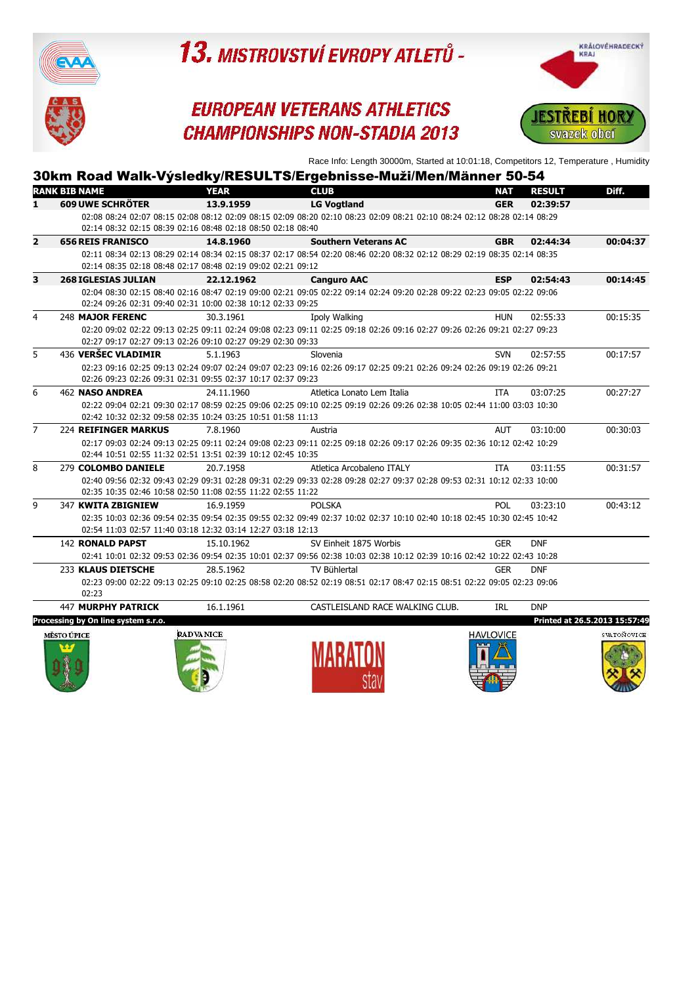

### **EUROPEAN VETERANS ATHLETICS CHAMPIONSHIPS NON-STADIA 2013**



Race Info: Length 30000m, Started at 10:01:18, Competitors 12, Temperature , Humidity

|                |                             |                                                             | 30km Road Walk-Výsledky/RESULTS/Ergebnisse-Muži/Men/Männer 50-54                                                        |            |               |          |
|----------------|-----------------------------|-------------------------------------------------------------|-------------------------------------------------------------------------------------------------------------------------|------------|---------------|----------|
|                | <b>RANK BIB NAME</b>        | <b>YEAR</b>                                                 | <b>CLUB</b>                                                                                                             | <b>NAT</b> | <b>RESULT</b> | Diff.    |
| 1.             | <b>609 UWE SCHRÖTER</b>     | 13.9.1959                                                   | <b>LG Vogtland</b>                                                                                                      | <b>GER</b> | 02:39:57      |          |
|                |                             |                                                             | 02:08 08:24 02:07 08:15 02:08 08:12 02:09 08:15 02:09 08:20 02:10 08:23 02:09 08:21 02:10 08:24 02:12 08:28 02:14 08:29 |            |               |          |
|                |                             | 02:14 08:32 02:15 08:39 02:16 08:48 02:18 08:50 02:18 08:40 |                                                                                                                         |            |               |          |
| $\overline{2}$ | <b>656 REIS FRANISCO</b>    | 14.8.1960                                                   | <b>Southern Veterans AC</b>                                                                                             | <b>GBR</b> | 02:44:34      | 00:04:37 |
|                |                             |                                                             | 02:11 08:34 02:13 08:29 02:14 08:34 02:15 08:37 02:17 08:54 02:20 08:46 02:20 08:32 02:12 08:29 02:19 08:35 02:14 08:35 |            |               |          |
|                |                             | 02:14 08:35 02:18 08:48 02:17 08:48 02:19 09:02 02:21 09:12 |                                                                                                                         |            |               |          |
| 3              | <b>268 IGLESIAS JULIAN</b>  | 22.12.1962                                                  | <b>Canguro AAC</b>                                                                                                      | <b>ESP</b> | 02:54:43      | 00:14:45 |
|                |                             |                                                             | 02:04 08:30 02:15 08:40 02:16 08:47 02:19 09:00 02:21 09:05 02:22 09:14 02:24 09:20 02:28 09:22 02:23 09:05 02:22 09:06 |            |               |          |
|                |                             | 02:24 09:26 02:31 09:40 02:31 10:00 02:38 10:12 02:33 09:25 |                                                                                                                         |            |               |          |
| 4              | 248 MAJOR FERENC            | 30.3.1961                                                   | Ipoly Walking                                                                                                           | <b>HUN</b> | 02:55:33      | 00:15:35 |
|                |                             |                                                             | 02:20 09:02 02:22 09:13 02:25 09:11 02:24 09:08 02:23 09:11 02:25 09:18 02:26 09:16 02:27 09:26 02:26 09:21 02:27 09:23 |            |               |          |
|                |                             | 02:27 09:17 02:27 09:13 02:26 09:10 02:27 09:29 02:30 09:33 |                                                                                                                         |            |               |          |
| 5              | 436 VERŠEC VLADIMIR         | 5.1.1963                                                    | Slovenia                                                                                                                | <b>SVN</b> | 02:57:55      | 00:17:57 |
|                |                             |                                                             | 02:23 09:16 02:25 09:13 02:24 09:07 02:24 09:07 02:23 09:16 02:26 09:17 02:25 09:21 02:26 09:24 02:26 09:19 02:26 09:21 |            |               |          |
|                |                             | 02:26 09:23 02:26 09:31 02:31 09:55 02:37 10:17 02:37 09:23 |                                                                                                                         |            |               |          |
| 6              | <b>462 NASO ANDREA</b>      | 24.11.1960                                                  | Atletica Lonato Lem Italia                                                                                              | ITA        | 03:07:25      | 00:27:27 |
|                |                             |                                                             | 02:22 09:04 02:21 09:30 02:17 08:59 02:25 09:06 02:25 09:10 02:25 09:19 02:26 09:26 02:38 10:05 02:44 11:00 03:03 10:30 |            |               |          |
|                |                             | 02:42 10:32 02:32 09:58 02:35 10:24 03:25 10:51 01:58 11:13 |                                                                                                                         |            |               |          |
| 7              | <b>224 REIFINGER MARKUS</b> | 7.8.1960                                                    | Austria                                                                                                                 | AUT        | 03:10:00      | 00:30:03 |
|                |                             |                                                             | 02:17 09:03 02:24 09:13 02:25 09:11 02:24 09:08 02:23 09:11 02:25 09:18 02:26 09:17 02:26 09:35 02:36 10:12 02:42 10:29 |            |               |          |
|                |                             | 02:44 10:51 02:55 11:32 02:51 13:51 02:39 10:12 02:45 10:35 |                                                                                                                         |            |               |          |
| 8              | 279 COLOMBO DANIELE         | 20.7.1958                                                   | Atletica Arcobaleno ITALY                                                                                               | ITA        | 03:11:55      | 00:31:57 |
|                |                             | 02:35 10:35 02:46 10:58 02:50 11:08 02:55 11:22 02:55 11:22 | 02:40 09:56 02:32 09:43 02:29 09:31 02:28 09:31 02:29 09:33 02:28 09:28 02:27 09:37 02:28 09:53 02:31 10:12 02:33 10:00 |            |               |          |
|                |                             |                                                             |                                                                                                                         |            |               |          |
| 9              | 347 KWITA ZBIGNIEW          | 16.9.1959                                                   | <b>POLSKA</b>                                                                                                           | <b>POL</b> | 03:23:10      | 00:43:12 |
|                |                             | 02:54 11:03 02:57 11:40 03:18 12:32 03:14 12:27 03:18 12:13 | 02:35 10:03 02:36 09:54 02:35 09:54 02:35 09:55 02:32 09:49 02:37 10:02 02:37 10:10 02:40 10:18 02:45 10:30 02:45 10:42 |            |               |          |
|                | <b>142 RONALD PAPST</b>     |                                                             |                                                                                                                         |            | <b>DNF</b>    |          |
|                |                             | 15.10.1962                                                  | SV Einheit 1875 Worbis                                                                                                  | <b>GER</b> |               |          |
|                |                             |                                                             | 02:41 10:01 02:32 09:53 02:36 09:54 02:35 10:01 02:37 09:56 02:38 10:03 02:38 10:12 02:39 10:16 02:42 10:22 02:43 10:28 |            |               |          |
|                | 233 KLAUS DIETSCHE          | 28.5.1962                                                   | TV Bühlertal                                                                                                            | <b>GER</b> | <b>DNF</b>    |          |
|                | 02:23                       |                                                             | 02:23 09:00 02:22 09:13 02:25 09:10 02:25 08:58 02:20 08:52 02:19 08:51 02:17 08:47 02:15 08:51 02:22 09:05 02:23 09:06 |            |               |          |
|                | <b>447 MURPHY PATRICK</b>   |                                                             |                                                                                                                         |            | <b>DNP</b>    |          |
|                |                             | 16.1.1961                                                   | CASTLEISLAND RACE WALKING CLUB.                                                                                         | IRL        |               |          |